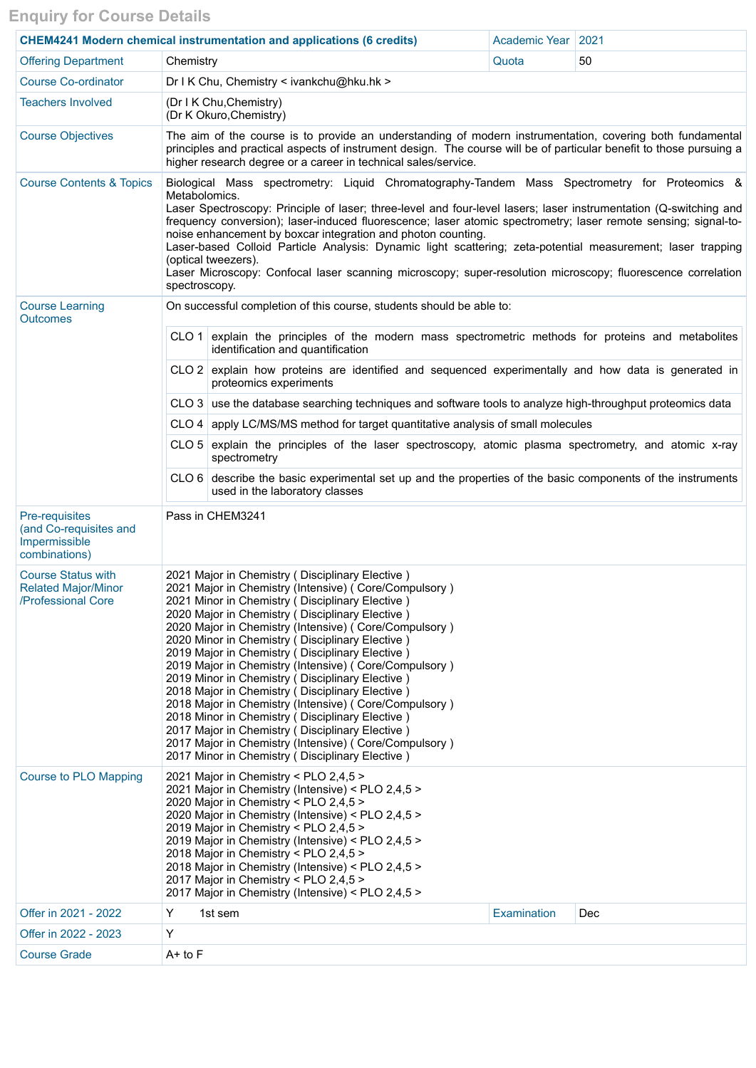## **Enquiry for Course Details**

| <b>CHEM4241 Modern chemical instrumentation and applications (6 credits)</b>  |                                                                                                                                                                                                                                                                                                                                                                                                                                                                                                                                                                                                                                                                                                                                                                                                                               | Academic Year   2021 |                    |     |  |  |  |  |  |
|-------------------------------------------------------------------------------|-------------------------------------------------------------------------------------------------------------------------------------------------------------------------------------------------------------------------------------------------------------------------------------------------------------------------------------------------------------------------------------------------------------------------------------------------------------------------------------------------------------------------------------------------------------------------------------------------------------------------------------------------------------------------------------------------------------------------------------------------------------------------------------------------------------------------------|----------------------|--------------------|-----|--|--|--|--|--|
| <b>Offering Department</b>                                                    | Chemistry                                                                                                                                                                                                                                                                                                                                                                                                                                                                                                                                                                                                                                                                                                                                                                                                                     |                      | Quota              | 50  |  |  |  |  |  |
| <b>Course Co-ordinator</b>                                                    | Dr I K Chu, Chemistry < ivankchu@hku.hk >                                                                                                                                                                                                                                                                                                                                                                                                                                                                                                                                                                                                                                                                                                                                                                                     |                      |                    |     |  |  |  |  |  |
| <b>Teachers Involved</b>                                                      | (Dr I K Chu, Chemistry)<br>(Dr K Okuro, Chemistry)                                                                                                                                                                                                                                                                                                                                                                                                                                                                                                                                                                                                                                                                                                                                                                            |                      |                    |     |  |  |  |  |  |
| <b>Course Objectives</b>                                                      | The aim of the course is to provide an understanding of modern instrumentation, covering both fundamental<br>principles and practical aspects of instrument design. The course will be of particular benefit to those pursuing a<br>higher research degree or a career in technical sales/service.                                                                                                                                                                                                                                                                                                                                                                                                                                                                                                                            |                      |                    |     |  |  |  |  |  |
| <b>Course Contents &amp; Topics</b>                                           | Biological Mass spectrometry: Liquid Chromatography-Tandem Mass Spectrometry for Proteomics &<br>Metabolomics.<br>Laser Spectroscopy: Principle of laser; three-level and four-level lasers; laser instrumentation (Q-switching and<br>frequency conversion); laser-induced fluorescence; laser atomic spectrometry; laser remote sensing; signal-to-<br>noise enhancement by boxcar integration and photon counting.<br>Laser-based Colloid Particle Analysis: Dynamic light scattering; zeta-potential measurement; laser trapping<br>(optical tweezers).<br>Laser Microscopy: Confocal laser scanning microscopy; super-resolution microscopy; fluorescence correlation<br>spectroscopy.                                                                                                                                   |                      |                    |     |  |  |  |  |  |
| <b>Course Learning</b><br><b>Outcomes</b>                                     | On successful completion of this course, students should be able to:                                                                                                                                                                                                                                                                                                                                                                                                                                                                                                                                                                                                                                                                                                                                                          |                      |                    |     |  |  |  |  |  |
|                                                                               | CLO 1 explain the principles of the modern mass spectrometric methods for proteins and metabolites<br>identification and quantification                                                                                                                                                                                                                                                                                                                                                                                                                                                                                                                                                                                                                                                                                       |                      |                    |     |  |  |  |  |  |
|                                                                               | CLO 2 explain how proteins are identified and sequenced experimentally and how data is generated in<br>proteomics experiments                                                                                                                                                                                                                                                                                                                                                                                                                                                                                                                                                                                                                                                                                                 |                      |                    |     |  |  |  |  |  |
|                                                                               | CLO 3 use the database searching techniques and software tools to analyze high-throughput proteomics data                                                                                                                                                                                                                                                                                                                                                                                                                                                                                                                                                                                                                                                                                                                     |                      |                    |     |  |  |  |  |  |
|                                                                               | CLO 4   apply LC/MS/MS method for target quantitative analysis of small molecules                                                                                                                                                                                                                                                                                                                                                                                                                                                                                                                                                                                                                                                                                                                                             |                      |                    |     |  |  |  |  |  |
|                                                                               | $CLO5$ explain the principles of the laser spectroscopy, atomic plasma spectrometry, and atomic x-ray<br>spectrometry                                                                                                                                                                                                                                                                                                                                                                                                                                                                                                                                                                                                                                                                                                         |                      |                    |     |  |  |  |  |  |
|                                                                               | $CLO 6$ describe the basic experimental set up and the properties of the basic components of the instruments<br>used in the laboratory classes                                                                                                                                                                                                                                                                                                                                                                                                                                                                                                                                                                                                                                                                                |                      |                    |     |  |  |  |  |  |
| Pre-requisites<br>(and Co-requisites and<br>Impermissible<br>combinations)    | Pass in CHEM3241                                                                                                                                                                                                                                                                                                                                                                                                                                                                                                                                                                                                                                                                                                                                                                                                              |                      |                    |     |  |  |  |  |  |
| <b>Course Status with</b><br><b>Related Major/Minor</b><br>/Professional Core | 2021 Major in Chemistry (Disciplinary Elective)<br>2021 Major in Chemistry (Intensive) (Core/Compulsory)<br>2021 Minor in Chemistry (Disciplinary Elective)<br>2020 Major in Chemistry (Disciplinary Elective)<br>2020 Major in Chemistry (Intensive) ( Core/Compulsory )<br>2020 Minor in Chemistry (Disciplinary Elective)<br>2019 Major in Chemistry (Disciplinary Elective)<br>2019 Major in Chemistry (Intensive) ( Core/Compulsory )<br>2019 Minor in Chemistry (Disciplinary Elective)<br>2018 Major in Chemistry (Disciplinary Elective)<br>2018 Major in Chemistry (Intensive) ( Core/Compulsory )<br>2018 Minor in Chemistry (Disciplinary Elective)<br>2017 Major in Chemistry (Disciplinary Elective)<br>2017 Major in Chemistry (Intensive) (Core/Compulsory)<br>2017 Minor in Chemistry (Disciplinary Elective) |                      |                    |     |  |  |  |  |  |
| Course to PLO Mapping                                                         | 2021 Major in Chemistry < PLO 2,4,5 ><br>2021 Major in Chemistry (Intensive) < PLO 2,4,5 ><br>2020 Major in Chemistry < PLO 2,4,5 ><br>2020 Major in Chemistry (Intensive) < PLO 2,4,5 ><br>2019 Major in Chemistry < PLO 2,4,5 ><br>2019 Major in Chemistry (Intensive) < PLO 2,4,5 ><br>2018 Major in Chemistry < PLO 2,4,5 ><br>2018 Major in Chemistry (Intensive) < PLO 2,4,5 ><br>2017 Major in Chemistry < PLO 2,4,5 ><br>2017 Major in Chemistry (Intensive) < PLO 2,4,5 >                                                                                                                                                                                                                                                                                                                                            |                      |                    |     |  |  |  |  |  |
| Offer in 2021 - 2022                                                          | Y                                                                                                                                                                                                                                                                                                                                                                                                                                                                                                                                                                                                                                                                                                                                                                                                                             | 1st sem              | <b>Examination</b> | Dec |  |  |  |  |  |
| Offer in 2022 - 2023                                                          | Y                                                                                                                                                                                                                                                                                                                                                                                                                                                                                                                                                                                                                                                                                                                                                                                                                             |                      |                    |     |  |  |  |  |  |
| <b>Course Grade</b>                                                           | $A+$ to $F$                                                                                                                                                                                                                                                                                                                                                                                                                                                                                                                                                                                                                                                                                                                                                                                                                   |                      |                    |     |  |  |  |  |  |